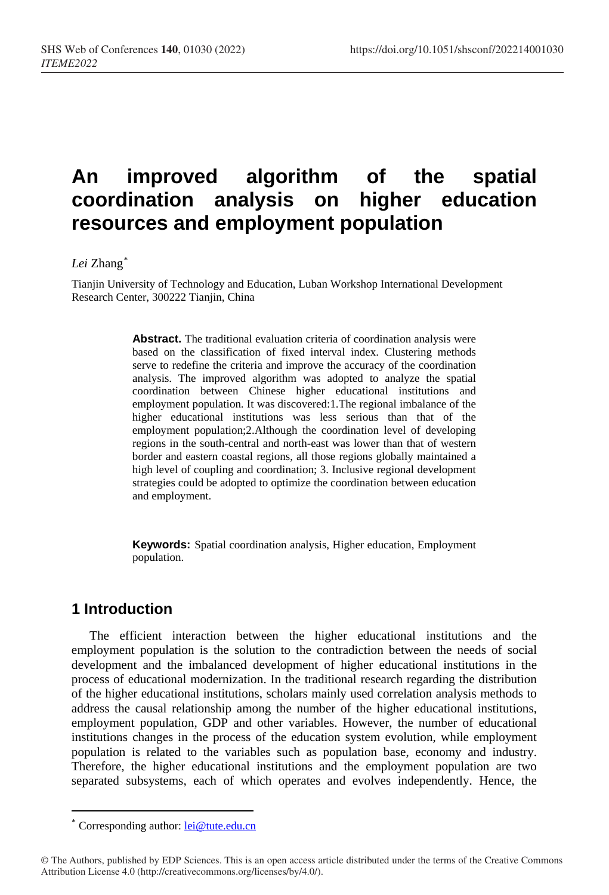# **An improved algorithm of the spatial coordination analysis on higher education resources and employment population**

#### *Lei* Zhang[\\*](#page-0-0)

Tianjin University of Technology and Education, Luban Workshop International Development Research Center, 300222 Tianjin, China

> **Abstract.** The traditional evaluation criteria of coordination analysis were based on the classification of fixed interval index. Clustering methods serve to redefine the criteria and improve the accuracy of the coordination analysis. The improved algorithm was adopted to analyze the spatial coordination between Chinese higher educational institutions and employment population. It was discovered:1.The regional imbalance of the higher educational institutions was less serious than that of the employment population;2.Although the coordination level of developing regions in the south-central and north-east was lower than that of western border and eastern coastal regions, all those regions globally maintained a high level of coupling and coordination; 3. Inclusive regional development strategies could be adopted to optimize the coordination between education and employment.

> **Keywords:** Spatial coordination analysis, Higher education, Employment population.

# **1 Introduction**

 $\overline{a}$ 

The efficient interaction between the higher educational institutions and the employment population is the solution to the contradiction between the needs of social development and the imbalanced development of higher educational institutions in the process of educational modernization. In the traditional research regarding the distribution of the higher educational institutions, scholars mainly used correlation analysis methods to address the causal relationship among the number of the higher educational institutions, employment population, GDP and other variables. However, the number of educational institutions changes in the process of the education system evolution, while employment population is related to the variables such as population base, economy and industry. Therefore, the higher educational institutions and the employment population are two separated subsystems, each of which operates and evolves independently. Hence, the

Corresponding author: [lei@tu](mailto:author@email.org)te.edu.cn

<span id="page-0-0"></span><sup>©</sup> The Authors, published by EDP Sciences. This is an open access article distributed under the terms of the Creative Commons Attribution License 4.0 (http://creativecommons.org/licenses/by/4.0/).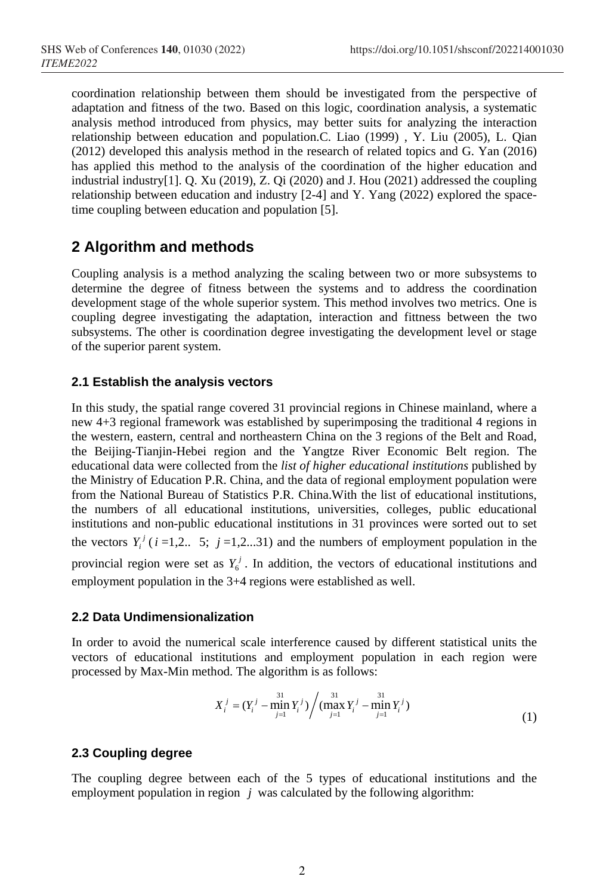coordination relationship between them should be investigated from the perspective of adaptation and fitness of the two. Based on this logic, coordination analysis, a systematic analysis method introduced from physics, may better suits for analyzing the interaction relationship between education and population.C. Liao (1999) , Y. Liu (2005), L. Qian (2012) developed this analysis method in the research of related topics and G. Yan (2016) has applied this method to the analysis of the coordination of the higher education and industrial industry[1]. Q. Xu (2019), Z. Qi (2020) and J. Hou (2021) addressed the coupling relationship between education and industry [2-4] and Y. Yang (2022) explored the spacetime coupling between education and population [5].

# **2 Algorithm and methods**

Coupling analysis is a method analyzing the scaling between two or more subsystems to determine the degree of fitness between the systems and to address the coordination development stage of the whole superior system. This method involves two metrics. One is coupling degree investigating the adaptation, interaction and fittness between the two subsystems. The other is coordination degree investigating the development level or stage of the superior parent system.

## **2.1 Establish the analysis vectors**

In this study, the spatial range covered 31 provincial regions in Chinese mainland, where a new 4+3 regional framework was established by superimposing the traditional 4 regions in the western, eastern, central and northeastern China on the 3 regions of the Belt and Road, the Beijing-Tianjin-Hebei region and the Yangtze River Economic Belt region. The educational data were collected from the *list of higher educational institutions* published by the Ministry of Education P.R. China, and the data of regional employment population were from the National Bureau of Statistics P.R. China.With the list of educational institutions, the numbers of all educational institutions, universities, colleges, public educational institutions and non-public educational institutions in 31 provinces were sorted out to set the vectors  $Y_i^j$  ( $i = 1, 2...$  5;  $j = 1, 2...31$ ) and the numbers of employment population in the provincial region were set as  $Y_6^j$ . In addition, the vectors of educational institutions and employment population in the 3+4 regions were established as well.

## **2.2 Data Undimensionalization**

In order to avoid the numerical scale interference caused by different statistical units the vectors of educational institutions and employment population in each region were processed by Max-Min method. The algorithm is as follows:

$$
X_i^j = (Y_i^j - \min_{j=1}^{31} Y_i^j) / (\max_{j=1}^{31} Y_i^j - \min_{j=1}^{31} Y_i^j)
$$
 (1)

## **2.3 Coupling degree**

The coupling degree between each of the 5 types of educational institutions and the employment population in region *j* was calculated by the following algorithm: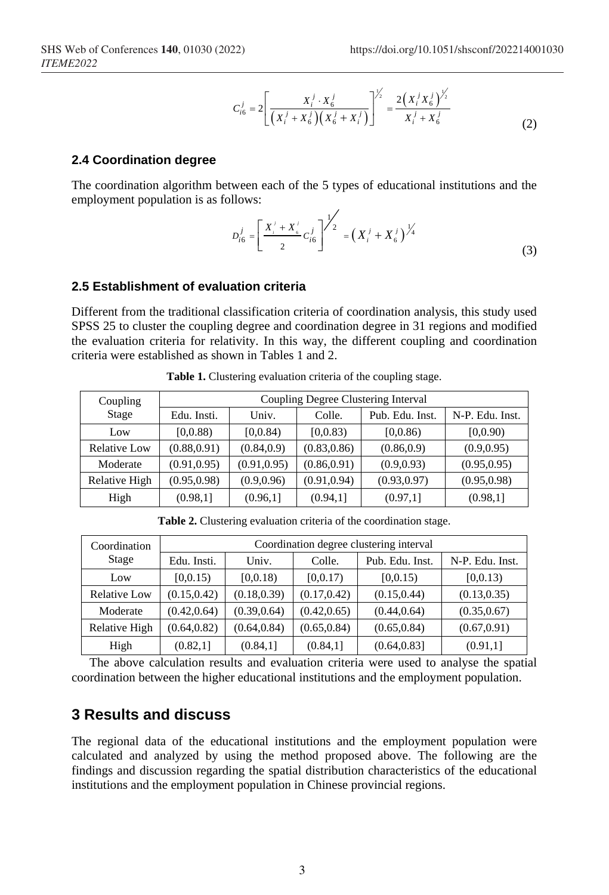$$
C_{i6}^{j} = 2 \left[ \frac{X_{i}^{j} \cdot X_{6}^{j}}{\left(X_{i}^{j} + X_{6}^{j}\right)\left(X_{6}^{j} + X_{i}^{j}\right)} \right]^{1/2} = \frac{2\left(X_{i}^{j} X_{6}^{j}\right)^{1/2}}{X_{i}^{j} + X_{6}^{j}}
$$
(2)

#### **2.4 Coordination degree**

The coordination algorithm between each of the 5 types of educational institutions and the employment population is as follows:  $\overline{ }$ 

$$
D_{i6}^{j} = \left[\frac{X_{i}^{j} + X_{6}^{j}}{2}C_{i6}^{j}\right]^{j/2} = \left(X_{i}^{j} + X_{6}^{j}\right)^{j/4}
$$
\n(3)

#### **2.5 Establishment of evaluation criteria**

Different from the traditional classification criteria of coordination analysis, this study used SPSS 25 to cluster the coupling degree and coordination degree in 31 regions and modified the evaluation criteria for relativity. In this way, the different coupling and coordination criteria were established as shown in Tables 1 and 2.

| Coupling<br>Stage   | Coupling Degree Clustering Interval |              |              |                 |                 |  |
|---------------------|-------------------------------------|--------------|--------------|-----------------|-----------------|--|
|                     | Edu. Insti.                         | Univ.        | Colle.       | Pub. Edu. Inst. | N-P. Edu. Inst. |  |
| Low                 | [0,0.88)                            | [0,0.84)     | [0,0.83)     | [0,0.86)        | [0,0.90)        |  |
| <b>Relative Low</b> | (0.88, 0.91)                        | (0.84, 0.9)  | (0.83, 0.86) | (0.86, 0.9)     | (0.9, 0.95)     |  |
| Moderate            | (0.91, 0.95)                        | (0.91, 0.95) | (0.86, 0.91) | (0.9, 0.93)     | (0.95, 0.95)    |  |
| Relative High       | (0.95, 0.98)                        | (0.9, 0.96)  | (0.91, 0.94) | (0.93, 0.97)    | (0.95, 0.98)    |  |
| High                | (0.98,1]                            | (0.96,1]     | (0.94,1]     | (0.97,1]        | (0.98,1]        |  |

**Table 1.** Clustering evaluation criteria of the coupling stage.

| Coordination<br>Stage | Coordination degree clustering interval |              |              |                 |                 |  |
|-----------------------|-----------------------------------------|--------------|--------------|-----------------|-----------------|--|
|                       | Edu. Insti.                             | Univ.        | Colle.       | Pub. Edu. Inst. | N-P. Edu. Inst. |  |
| Low                   | [0,0.15)                                | [0,0.18)     | [0,0.17)     | [0,0.15)        | [0,0.13)        |  |
| <b>Relative Low</b>   | (0.15, 0.42)                            | (0.18, 0.39) | (0.17, 0.42) | (0.15, 0.44)    | (0.13, 0.35)    |  |
| Moderate              | (0.42, 0.64)                            | (0.39, 0.64) | (0.42, 0.65) | (0.44, 0.64)    | (0.35, 0.67)    |  |
| Relative High         | (0.64, 0.82)                            | (0.64, 0.84) | (0.65, 0.84) | (0.65, 0.84)    | (0.67, 0.91)    |  |
| High                  | (0.82,1]                                | (0.84,1]     | (0.84,1]     | (0.64, 0.83]    | (0.91,1]        |  |

**Table 2.** Clustering evaluation criteria of the coordination stage.

The above calculation results and evaluation criteria were used to analyse the spatial coordination between the higher educational institutions and the employment population.

# **3 Results and discuss**

The regional data of the educational institutions and the employment population were calculated and analyzed by using the method proposed above. The following are the findings and discussion regarding the spatial distribution characteristics of the educational institutions and the employment population in Chinese provincial regions.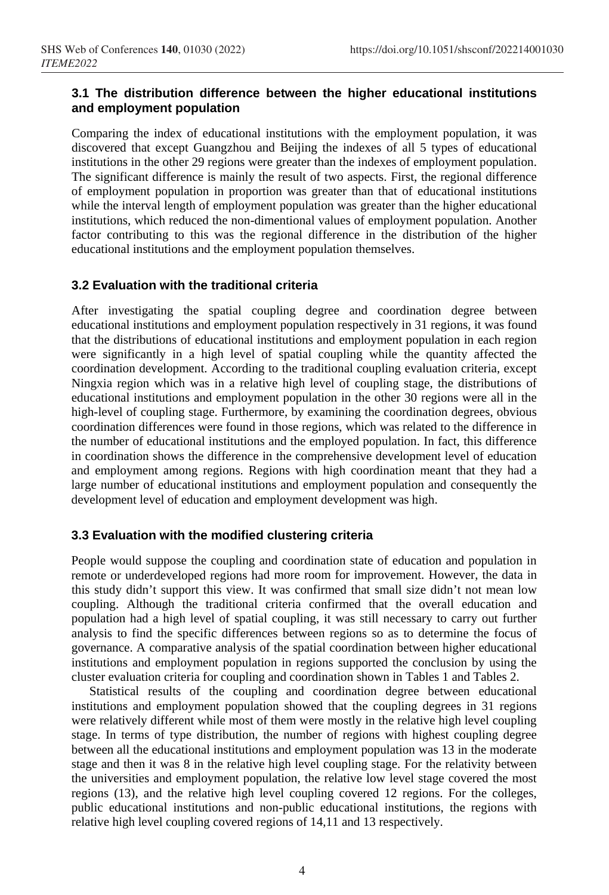### **3.1 The distribution difference between the higher educational institutions and employment population**

Comparing the index of educational institutions with the employment population, it was discovered that except Guangzhou and Beijing the indexes of all 5 types of educational institutions in the other 29 regions were greater than the indexes of employment population. The significant difference is mainly the result of two aspects. First, the regional difference of employment population in proportion was greater than that of educational institutions while the interval length of employment population was greater than the higher educational institutions, which reduced the non-dimentional values of employment population. Another factor contributing to this was the regional difference in the distribution of the higher educational institutions and the employment population themselves.

#### **3.2 Evaluation with the traditional criteria**

After investigating the spatial coupling degree and coordination degree between educational institutions and employment population respectively in 31 regions, it was found that the distributions of educational institutions and employment population in each region were significantly in a high level of spatial coupling while the quantity affected the coordination development. According to the traditional coupling evaluation criteria, except Ningxia region which was in a relative high level of coupling stage, the distributions of educational institutions and employment population in the other 30 regions were all in the high-level of coupling stage. Furthermore, by examining the coordination degrees, obvious coordination differences were found in those regions, which was related to the difference in the number of educational institutions and the employed population. In fact, this difference in coordination shows the difference in the comprehensive development level of education and employment among regions. Regions with high coordination meant that they had a large number of educational institutions and employment population and consequently the development level of education and employment development was high.

#### **3.3 Evaluation with the modified clustering criteria**

People would suppose the coupling and coordination state of education and population in remote or underdeveloped regions had more room for improvement. However, the data in this study didn't support this view. It was confirmed that small size didn't not mean low coupling. Although the traditional criteria confirmed that the overall education and population had a high level of spatial coupling, it was still necessary to carry out further analysis to find the specific differences between regions so as to determine the focus of governance. A comparative analysis of the spatial coordination between higher educational institutions and employment population in regions supported the conclusion by using the cluster evaluation criteria for coupling and coordination shown in Tables 1 and Tables 2.

Statistical results of the coupling and coordination degree between educational institutions and employment population showed that the coupling degrees in 31 regions were relatively different while most of them were mostly in the relative high level coupling stage. In terms of type distribution, the number of regions with highest coupling degree between all the educational institutions and employment population was 13 in the moderate stage and then it was 8 in the relative high level coupling stage. For the relativity between the universities and employment population, the relative low level stage covered the most regions (13), and the relative high level coupling covered 12 regions. For the colleges, public educational institutions and non-public educational institutions, the regions with relative high level coupling covered regions of 14,11 and 13 respectively.